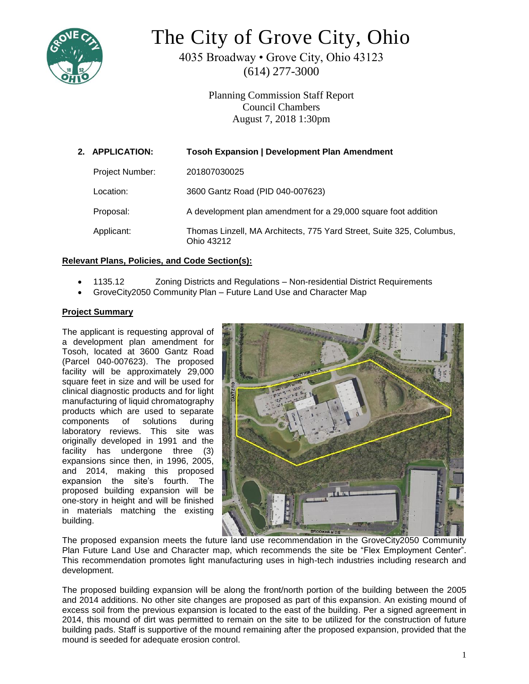

# The City of Grove City, Ohio

4035 Broadway • Grove City, Ohio 43123 (614) 277-3000

> Planning Commission Staff Report Council Chambers August 7, 2018 1:30pm

| 2. APPLICATION: | <b>Tosoh Expansion   Development Plan Amendment</b>                                |
|-----------------|------------------------------------------------------------------------------------|
| Project Number: | 201807030025                                                                       |
| Location:       | 3600 Gantz Road (PID 040-007623)                                                   |
| Proposal:       | A development plan amendment for a 29,000 square foot addition                     |
| Applicant:      | Thomas Linzell, MA Architects, 775 Yard Street, Suite 325, Columbus,<br>Ohio 43212 |

## **Relevant Plans, Policies, and Code Section(s):**

- 1135.12 Zoning Districts and Regulations Non-residential District Requirements
- GroveCity2050 Community Plan Future Land Use and Character Map

### **Project Summary**

The applicant is requesting approval of a development plan amendment for Tosoh, located at 3600 Gantz Road (Parcel 040-007623). The proposed facility will be approximately 29,000 square feet in size and will be used for clinical diagnostic products and for light manufacturing of liquid chromatography products which are used to separate components of solutions during laboratory reviews. This site was originally developed in 1991 and the facility has undergone three (3) expansions since then, in 1996, 2005, and 2014, making this proposed expansion the site's fourth. The proposed building expansion will be one-story in height and will be finished in materials matching the existing building.



The proposed expansion meets the future land use recommendation in the GroveCity2050 Community Plan Future Land Use and Character map, which recommends the site be "Flex Employment Center". This recommendation promotes light manufacturing uses in high-tech industries including research and development.

The proposed building expansion will be along the front/north portion of the building between the 2005 and 2014 additions. No other site changes are proposed as part of this expansion. An existing mound of excess soil from the previous expansion is located to the east of the building. Per a signed agreement in 2014, this mound of dirt was permitted to remain on the site to be utilized for the construction of future building pads. Staff is supportive of the mound remaining after the proposed expansion, provided that the mound is seeded for adequate erosion control.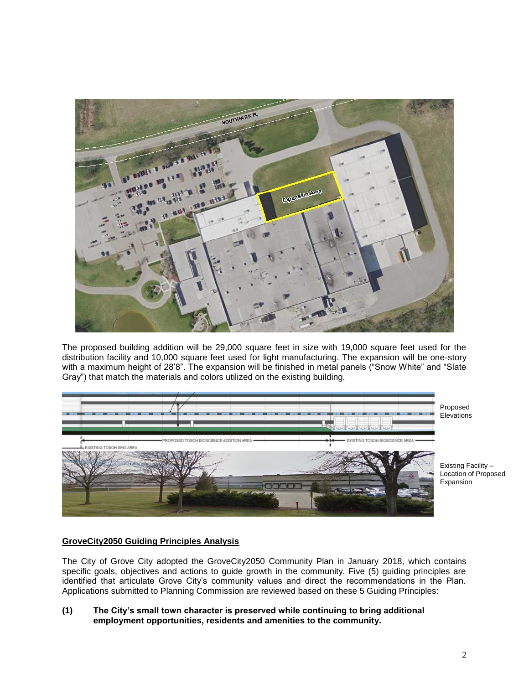

The proposed building addition will be 29,000 square feet in size with 19,000 square feet used for the distribution facility and 10,000 square feet used for light manufacturing. The expansion will be one-story with a maximum height of 28'8". The expansion will be finished in metal panels ("Snow White" and "Slate Gray") that match the materials and colors utilized on the existing building.



Proposed **Elevations** 

Existing Facility – Location of Proposed Expansion

# **GroveCity2050 Guiding Principles Analysis**

The City of Grove City adopted the GroveCity2050 Community Plan in January 2018, which contains specific goals, objectives and actions to guide growth in the community. Five (5) guiding principles are identified that articulate Grove City's community values and direct the recommendations in the Plan. Applications submitted to Planning Commission are reviewed based on these 5 Guiding Principles:

**(1) The City's small town character is preserved while continuing to bring additional employment opportunities, residents and amenities to the community.**